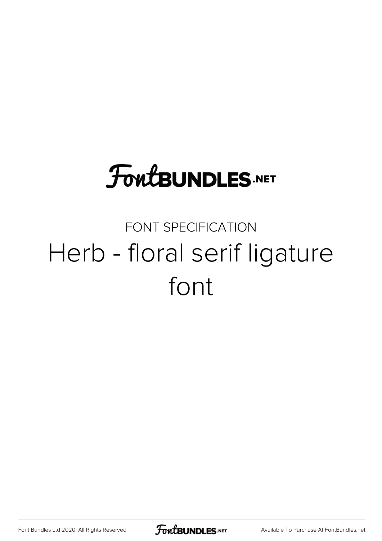# **FoutBUNDLES.NET**

### FONT SPECIFICATION Herb - floral serif ligature font

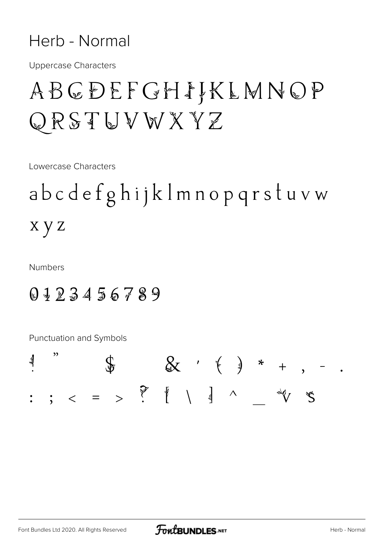#### Herb - Normal

**Uppercase Characters** 

## ABCDEFGHIKLMNOP QRSTUVWXYZ

Lowercase Characters

abcdefghijklmnopqrstuvw x y z

**Numbers** 

### 0123456789

Punctuation and Symbols

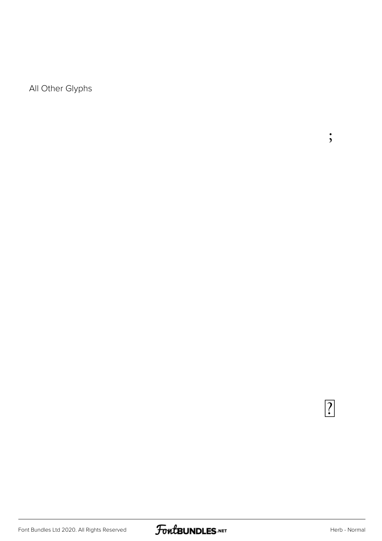All Other Glyphs

 $\overline{?}$ 

;<br>;

 $\ddot{\phantom{0}}$ 

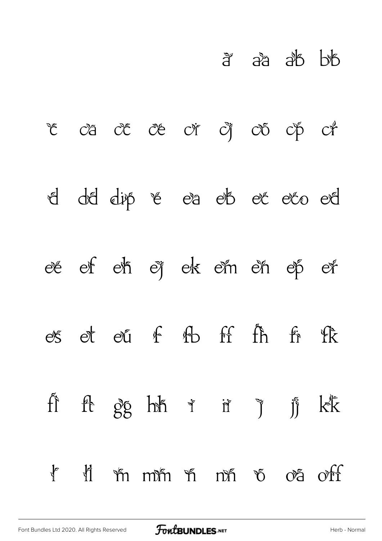|  |                            |  | a aa ab bb |  |
|--|----------------------------|--|------------|--|
|  | ve va ve ve vi vi vo vp vi |  |            |  |
|  | d dd dip & ea eb et eto ed |  |            |  |
|  | ee ef eh ej ek em en ep er |  |            |  |
|  | es et eu f fb ff fh fr fk  |  |            |  |
|  | fi ft gg hh i ii ji kk     |  |            |  |
|  | I li mmm n nn v oa off     |  |            |  |